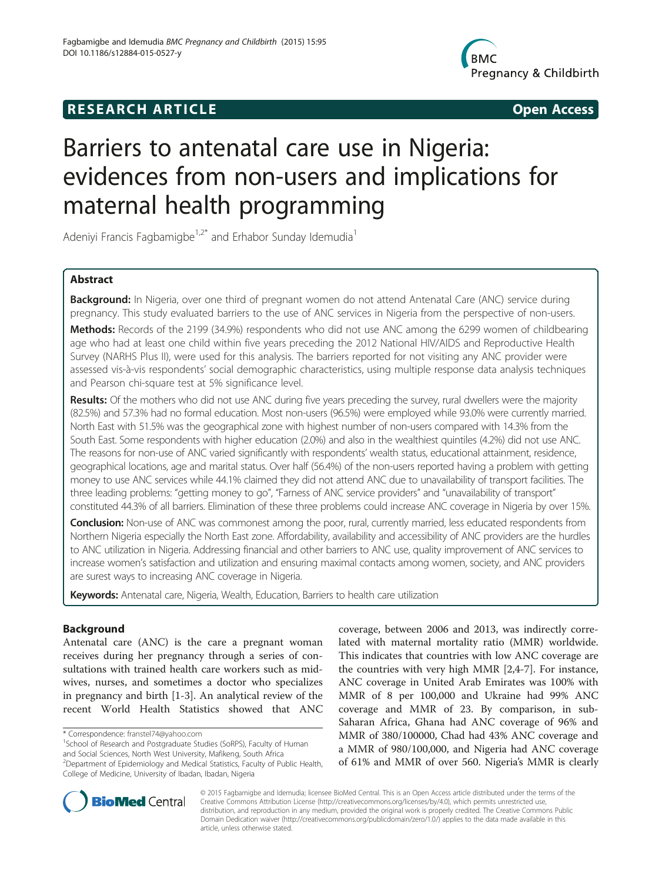# **RESEARCH ARTICLE Example 2014 12:30 The SEAR CHA RESEARCH ARTICLE**



# Barriers to antenatal care use in Nigeria: evidences from non-users and implications for maternal health programming

Adeniyi Francis Fagbamigbe<sup>1,2\*</sup> and Erhabor Sunday Idemudia<sup>1</sup>

# Abstract

Background: In Nigeria, over one third of pregnant women do not attend Antenatal Care (ANC) service during pregnancy. This study evaluated barriers to the use of ANC services in Nigeria from the perspective of non-users.

Methods: Records of the 2199 (34.9%) respondents who did not use ANC among the 6299 women of childbearing age who had at least one child within five years preceding the 2012 National HIV/AIDS and Reproductive Health Survey (NARHS Plus II), were used for this analysis. The barriers reported for not visiting any ANC provider were assessed vis-à-vis respondents' social demographic characteristics, using multiple response data analysis techniques and Pearson chi-square test at 5% significance level.

Results: Of the mothers who did not use ANC during five years preceding the survey, rural dwellers were the majority (82.5%) and 57.3% had no formal education. Most non-users (96.5%) were employed while 93.0% were currently married. North East with 51.5% was the geographical zone with highest number of non-users compared with 14.3% from the South East. Some respondents with higher education (2.0%) and also in the wealthiest quintiles (4.2%) did not use ANC. The reasons for non-use of ANC varied significantly with respondents' wealth status, educational attainment, residence, geographical locations, age and marital status. Over half (56.4%) of the non-users reported having a problem with getting money to use ANC services while 44.1% claimed they did not attend ANC due to unavailability of transport facilities. The three leading problems: "getting money to go", "Farness of ANC service providers" and "unavailability of transport" constituted 44.3% of all barriers. Elimination of these three problems could increase ANC coverage in Nigeria by over 15%.

Conclusion: Non-use of ANC was commonest among the poor, rural, currently married, less educated respondents from Northern Nigeria especially the North East zone. Affordability, availability and accessibility of ANC providers are the hurdles to ANC utilization in Nigeria. Addressing financial and other barriers to ANC use, quality improvement of ANC services to increase women's satisfaction and utilization and ensuring maximal contacts among women, society, and ANC providers are surest ways to increasing ANC coverage in Nigeria.

Keywords: Antenatal care, Nigeria, Wealth, Education, Barriers to health care utilization

# Background

Antenatal care (ANC) is the care a pregnant woman receives during her pregnancy through a series of consultations with trained health care workers such as midwives, nurses, and sometimes a doctor who specializes in pregnancy and birth [[1-3](#page-8-0)]. An analytical review of the recent World Health Statistics showed that ANC

coverage, between 2006 and 2013, was indirectly correlated with maternal mortality ratio (MMR) worldwide. This indicates that countries with low ANC coverage are the countries with very high MMR [\[2,4](#page-8-0)-[7\]](#page-8-0). For instance, ANC coverage in United Arab Emirates was 100% with MMR of 8 per 100,000 and Ukraine had 99% ANC coverage and MMR of 23. By comparison, in sub-Saharan Africa, Ghana had ANC coverage of 96% and MMR of 380/100000, Chad had 43% ANC coverage and a MMR of 980/100,000, and Nigeria had ANC coverage of 61% and MMR of over 560. Nigeria's MMR is clearly



© 2015 Fagbamigbe and Idemudia; licensee BioMed Central. This is an Open Access article distributed under the terms of the Creative Commons Attribution License (<http://creativecommons.org/licenses/by/4.0>), which permits unrestricted use, distribution, and reproduction in any medium, provided the original work is properly credited. The Creative Commons Public Domain Dedication waiver [\(http://creativecommons.org/publicdomain/zero/1.0/\)](http://creativecommons.org/publicdomain/zero/1.0/) applies to the data made available in this article, unless otherwise stated.

<sup>\*</sup> Correspondence: [franstel74@yahoo.com](mailto:franstel74@yahoo.com) <sup>1</sup>

<sup>&</sup>lt;sup>1</sup>School of Research and Postgraduate Studies (SoRPS), Faculty of Human and Social Sciences, North West University, Mafikeng, South Africa

<sup>2</sup> Department of Epidemiology and Medical Statistics, Faculty of Public Health, College of Medicine, University of Ibadan, Ibadan, Nigeria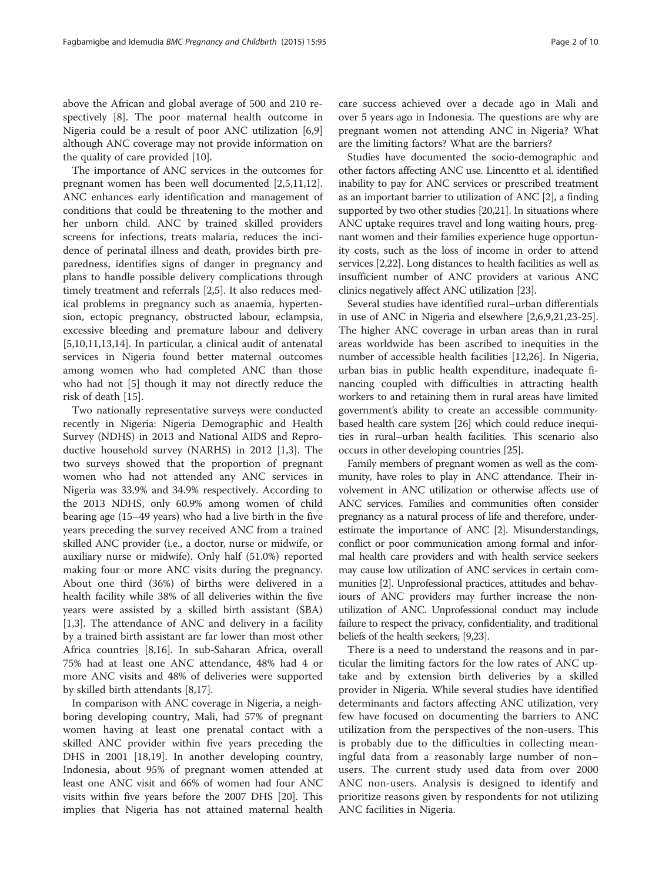above the African and global average of 500 and 210 respectively [\[8](#page-8-0)]. The poor maternal health outcome in Nigeria could be a result of poor ANC utilization [\[6,9](#page-8-0)] although ANC coverage may not provide information on the quality of care provided [[10\]](#page-9-0).

The importance of ANC services in the outcomes for pregnant women has been well documented [\[2,5](#page-8-0)[,11,12](#page-9-0)]. ANC enhances early identification and management of conditions that could be threatening to the mother and her unborn child. ANC by trained skilled providers screens for infections, treats malaria, reduces the incidence of perinatal illness and death, provides birth preparedness, identifies signs of danger in pregnancy and plans to handle possible delivery complications through timely treatment and referrals [[2,5\]](#page-8-0). It also reduces medical problems in pregnancy such as anaemia, hypertension, ectopic pregnancy, obstructed labour, eclampsia, excessive bleeding and premature labour and delivery [[5,](#page-8-0)[10,11,13,14\]](#page-9-0). In particular, a clinical audit of antenatal services in Nigeria found better maternal outcomes among women who had completed ANC than those who had not [[5\]](#page-8-0) though it may not directly reduce the risk of death [\[15\]](#page-9-0).

Two nationally representative surveys were conducted recently in Nigeria: Nigeria Demographic and Health Survey (NDHS) in 2013 and National AIDS and Reproductive household survey (NARHS) in 2012 [[1](#page-8-0),[3](#page-8-0)]. The two surveys showed that the proportion of pregnant women who had not attended any ANC services in Nigeria was 33.9% and 34.9% respectively. According to the 2013 NDHS, only 60.9% among women of child bearing age (15–49 years) who had a live birth in the five years preceding the survey received ANC from a trained skilled ANC provider (i.e., a doctor, nurse or midwife, or auxiliary nurse or midwife). Only half (51.0%) reported making four or more ANC visits during the pregnancy. About one third (36%) of births were delivered in a health facility while 38% of all deliveries within the five years were assisted by a skilled birth assistant (SBA) [[1,3\]](#page-8-0). The attendance of ANC and delivery in a facility by a trained birth assistant are far lower than most other Africa countries [\[8](#page-8-0)[,16](#page-9-0)]. In sub-Saharan Africa, overall 75% had at least one ANC attendance, 48% had 4 or more ANC visits and 48% of deliveries were supported by skilled birth attendants [[8,](#page-8-0)[17](#page-9-0)].

In comparison with ANC coverage in Nigeria, a neighboring developing country, Mali, had 57% of pregnant women having at least one prenatal contact with a skilled ANC provider within five years preceding the DHS in 2001 [[18](#page-9-0),[19](#page-9-0)]. In another developing country, Indonesia, about 95% of pregnant women attended at least one ANC visit and 66% of women had four ANC visits within five years before the 2007 DHS [\[20\]](#page-9-0). This implies that Nigeria has not attained maternal health

care success achieved over a decade ago in Mali and over 5 years ago in Indonesia. The questions are why are pregnant women not attending ANC in Nigeria? What are the limiting factors? What are the barriers?

Studies have documented the socio-demographic and other factors affecting ANC use. Lincentto et al. identified inability to pay for ANC services or prescribed treatment as an important barrier to utilization of ANC [[2\]](#page-8-0), a finding supported by two other studies [[20,21\]](#page-9-0). In situations where ANC uptake requires travel and long waiting hours, pregnant women and their families experience huge opportunity costs, such as the loss of income in order to attend services [[2](#page-8-0)[,22](#page-9-0)]. Long distances to health facilities as well as insufficient number of ANC providers at various ANC clinics negatively affect ANC utilization [\[23\]](#page-9-0).

Several studies have identified rural–urban differentials in use of ANC in Nigeria and elsewhere [[2,6,9,](#page-8-0)[21,23-25](#page-9-0)]. The higher ANC coverage in urban areas than in rural areas worldwide has been ascribed to inequities in the number of accessible health facilities [[12](#page-9-0),[26](#page-9-0)]. In Nigeria, urban bias in public health expenditure, inadequate financing coupled with difficulties in attracting health workers to and retaining them in rural areas have limited government's ability to create an accessible communitybased health care system [[26](#page-9-0)] which could reduce inequities in rural–urban health facilities. This scenario also occurs in other developing countries [\[25\]](#page-9-0).

Family members of pregnant women as well as the community, have roles to play in ANC attendance. Their involvement in ANC utilization or otherwise affects use of ANC services. Families and communities often consider pregnancy as a natural process of life and therefore, underestimate the importance of ANC [\[2](#page-8-0)]. Misunderstandings, conflict or poor communication among formal and informal health care providers and with health service seekers may cause low utilization of ANC services in certain communities [[2](#page-8-0)]. Unprofessional practices, attitudes and behaviours of ANC providers may further increase the nonutilization of ANC. Unprofessional conduct may include failure to respect the privacy, confidentiality, and traditional beliefs of the health seekers, [\[9](#page-8-0)[,23\]](#page-9-0).

There is a need to understand the reasons and in particular the limiting factors for the low rates of ANC uptake and by extension birth deliveries by a skilled provider in Nigeria. While several studies have identified determinants and factors affecting ANC utilization, very few have focused on documenting the barriers to ANC utilization from the perspectives of the non-users. This is probably due to the difficulties in collecting meaningful data from a reasonably large number of non– users. The current study used data from over 2000 ANC non-users. Analysis is designed to identify and prioritize reasons given by respondents for not utilizing ANC facilities in Nigeria.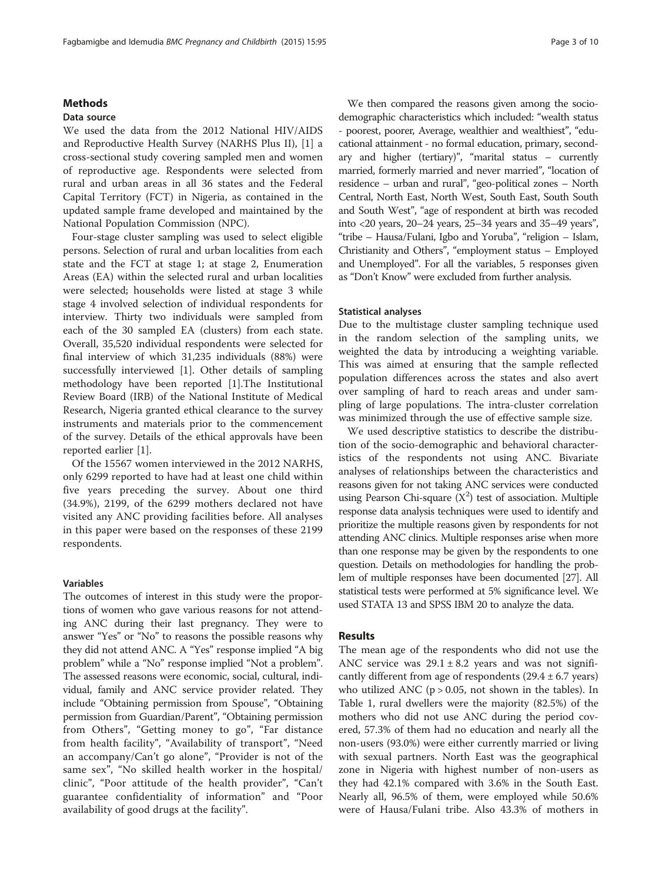#### **Methods**

# Data source

We used the data from the 2012 National HIV/AIDS and Reproductive Health Survey (NARHS Plus II), [\[1](#page-8-0)] a cross-sectional study covering sampled men and women of reproductive age. Respondents were selected from rural and urban areas in all 36 states and the Federal Capital Territory (FCT) in Nigeria, as contained in the updated sample frame developed and maintained by the National Population Commission (NPC).

Four-stage cluster sampling was used to select eligible persons. Selection of rural and urban localities from each state and the FCT at stage 1; at stage 2, Enumeration Areas (EA) within the selected rural and urban localities were selected; households were listed at stage 3 while stage 4 involved selection of individual respondents for interview. Thirty two individuals were sampled from each of the 30 sampled EA (clusters) from each state. Overall, 35,520 individual respondents were selected for final interview of which 31,235 individuals (88%) were successfully interviewed [[1\]](#page-8-0). Other details of sampling methodology have been reported [[1\]](#page-8-0).The Institutional Review Board (IRB) of the National Institute of Medical Research, Nigeria granted ethical clearance to the survey instruments and materials prior to the commencement of the survey. Details of the ethical approvals have been reported earlier [\[1](#page-8-0)].

Of the 15567 women interviewed in the 2012 NARHS, only 6299 reported to have had at least one child within five years preceding the survey. About one third (34.9%), 2199, of the 6299 mothers declared not have visited any ANC providing facilities before. All analyses in this paper were based on the responses of these 2199 respondents.

#### Variables

The outcomes of interest in this study were the proportions of women who gave various reasons for not attending ANC during their last pregnancy. They were to answer "Yes" or "No" to reasons the possible reasons why they did not attend ANC. A "Yes" response implied "A big problem" while a "No" response implied "Not a problem". The assessed reasons were economic, social, cultural, individual, family and ANC service provider related. They include "Obtaining permission from Spouse", "Obtaining permission from Guardian/Parent", "Obtaining permission from Others", "Getting money to go", "Far distance from health facility", "Availability of transport", "Need an accompany/Can't go alone", "Provider is not of the same sex", "No skilled health worker in the hospital/ clinic", "Poor attitude of the health provider", "Can't guarantee confidentiality of information" and "Poor availability of good drugs at the facility".

We then compared the reasons given among the sociodemographic characteristics which included: "wealth status - poorest, poorer, Average, wealthier and wealthiest", "educational attainment - no formal education, primary, secondary and higher (tertiary)", "marital status – currently married, formerly married and never married", "location of residence – urban and rural", "geo-political zones – North Central, North East, North West, South East, South South and South West", "age of respondent at birth was recoded into <20 years, 20–24 years, 25–34 years and 35–49 years", "tribe – Hausa/Fulani, Igbo and Yoruba", "religion – Islam, Christianity and Others", "employment status – Employed and Unemployed". For all the variables, 5 responses given as "Don't Know" were excluded from further analysis.

#### Statistical analyses

Due to the multistage cluster sampling technique used in the random selection of the sampling units, we weighted the data by introducing a weighting variable. This was aimed at ensuring that the sample reflected population differences across the states and also avert over sampling of hard to reach areas and under sampling of large populations. The intra-cluster correlation was minimized through the use of effective sample size.

We used descriptive statistics to describe the distribution of the socio-demographic and behavioral characteristics of the respondents not using ANC. Bivariate analyses of relationships between the characteristics and reasons given for not taking ANC services were conducted using Pearson Chi-square  $(X^2)$  test of association. Multiple response data analysis techniques were used to identify and prioritize the multiple reasons given by respondents for not attending ANC clinics. Multiple responses arise when more than one response may be given by the respondents to one question. Details on methodologies for handling the problem of multiple responses have been documented [\[27\]](#page-9-0). All statistical tests were performed at 5% significance level. We used STATA 13 and SPSS IBM 20 to analyze the data.

#### Results

The mean age of the respondents who did not use the ANC service was  $29.1 \pm 8.2$  years and was not significantly different from age of respondents  $(29.4 \pm 6.7 \text{ years})$ who utilized ANC ( $p > 0.05$ , not shown in the tables). In Table [1,](#page-3-0) rural dwellers were the majority (82.5%) of the mothers who did not use ANC during the period covered, 57.3% of them had no education and nearly all the non-users (93.0%) were either currently married or living with sexual partners. North East was the geographical zone in Nigeria with highest number of non-users as they had 42.1% compared with 3.6% in the South East. Nearly all, 96.5% of them, were employed while 50.6% were of Hausa/Fulani tribe. Also 43.3% of mothers in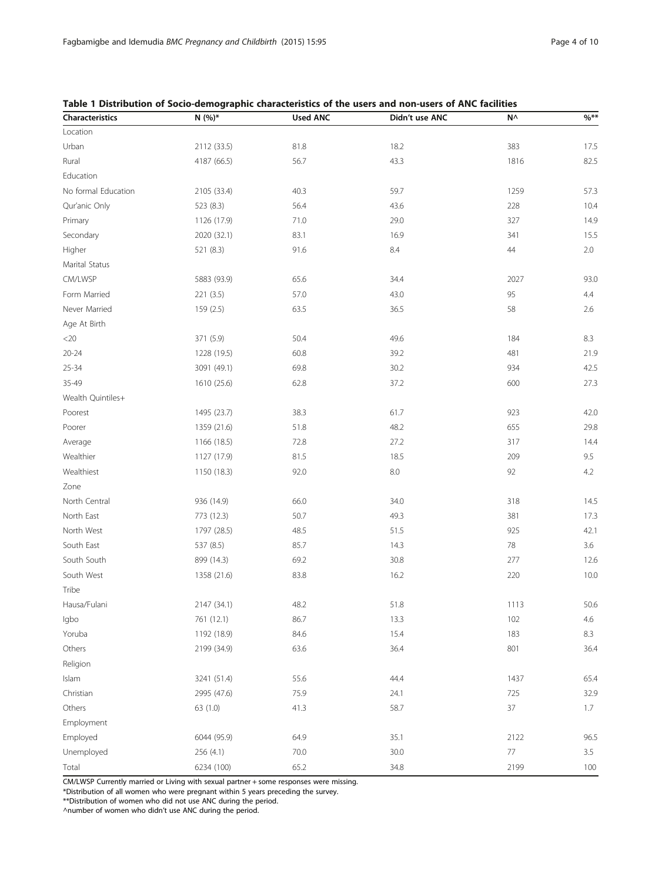| Characteristics     | $N(%)*$     | <b>Used ANC</b> | Didn't use ANC | N۸     | $%$ ** |
|---------------------|-------------|-----------------|----------------|--------|--------|
| Location            |             |                 |                |        |        |
| Urban               | 2112 (33.5) | 81.8            | 18.2           | 383    | 17.5   |
| Rural               | 4187 (66.5) | 56.7            | 43.3           | 1816   | 82.5   |
| Education           |             |                 |                |        |        |
| No formal Education | 2105 (33.4) | 40.3            | 59.7           | 1259   | 57.3   |
| Qur'anic Only       | 523 (8.3)   | 56.4            | 43.6           | 228    | 10.4   |
| Primary             | 1126 (17.9) | 71.0            | 29.0           | 327    | 14.9   |
| Secondary           | 2020 (32.1) | 83.1            | 16.9           | 341    | 15.5   |
| Higher              | 521 (8.3)   | 91.6            | 8.4            | 44     | 2.0    |
| Marital Status      |             |                 |                |        |        |
| CM/LWSP             | 5883 (93.9) | 65.6            | 34.4           | 2027   | 93.0   |
| Form Married        | 221 (3.5)   | 57.0            | 43.0           | 95     | 4.4    |
| Never Married       | 159 (2.5)   | 63.5            | 36.5           | 58     | 2.6    |
| Age At Birth        |             |                 |                |        |        |
| $<$ 20              | 371 (5.9)   | 50.4            | 49.6           | 184    | 8.3    |
| $20 - 24$           | 1228 (19.5) | 60.8            | 39.2           | 481    | 21.9   |
| 25-34               | 3091 (49.1) | 69.8            | 30.2           | 934    | 42.5   |
| 35-49               | 1610 (25.6) | 62.8            | 37.2           | 600    | 27.3   |
| Wealth Quintiles+   |             |                 |                |        |        |
| Poorest             | 1495 (23.7) | 38.3            | 61.7           | 923    | 42.0   |
| Poorer              | 1359 (21.6) | 51.8            | 48.2           | 655    | 29.8   |
| Average             | 1166 (18.5) | 72.8            | 27.2           | 317    | 14.4   |
| Wealthier           | 1127 (17.9) | 81.5            | 18.5           | 209    | 9.5    |
| Wealthiest          | 1150 (18.3) | 92.0            | $8.0\,$        | 92     | 4.2    |
| Zone                |             |                 |                |        |        |
| North Central       | 936 (14.9)  | 66.0            | 34.0           | 318    | 14.5   |
| North East          | 773 (12.3)  | 50.7            | 49.3           | 381    | 17.3   |
| North West          | 1797 (28.5) | 48.5            | 51.5           | 925    | 42.1   |
| South East          | 537 (8.5)   | 85.7            | 14.3           | 78     | 3.6    |
| South South         | 899 (14.3)  | 69.2            | 30.8           | 277    | 12.6   |
| South West          | 1358 (21.6) | 83.8            | 16.2           | 220    | 10.0   |
| Tribe               |             |                 |                |        |        |
| Hausa/Fulani        | 2147 (34.1) | 48.2            | 51.8           | 1113   | 50.6   |
| Igbo                | 761 (12.1)  | 86.7            | 13.3           | 102    | 4.6    |
| Yoruba              | 1192 (18.9) | 84.6            | 15.4           | 183    | 8.3    |
| Others              | 2199 (34.9) | 63.6            | 36.4           | 801    | 36.4   |
| Religion            |             |                 |                |        |        |
| Islam               | 3241 (51.4) | 55.6            | 44.4           | 1437   | 65.4   |
| Christian           | 2995 (47.6) | 75.9            | 24.1           | 725    | 32.9   |
| Others              | 63 (1.0)    | 41.3            | 58.7           | 37     | 1.7    |
| Employment          |             |                 |                |        |        |
| Employed            | 6044 (95.9) | 64.9            | 35.1           | 2122   | 96.5   |
| Unemployed          | 256 (4.1)   | 70.0            | 30.0           | $77\,$ | 3.5    |
| Total               | 6234 (100)  | 65.2            | 34.8           | 2199   | 100    |

<span id="page-3-0"></span>Table 1 Distribution of Socio-demographic characteristics of the users and non-users of ANC facilities

CM/LWSP Currently married or Living with sexual partner + some responses were missing.

\*Distribution of all women who were pregnant within 5 years preceding the survey.

\*\*Distribution of women who did not use ANC during the period.

^number of women who didn't use ANC during the period.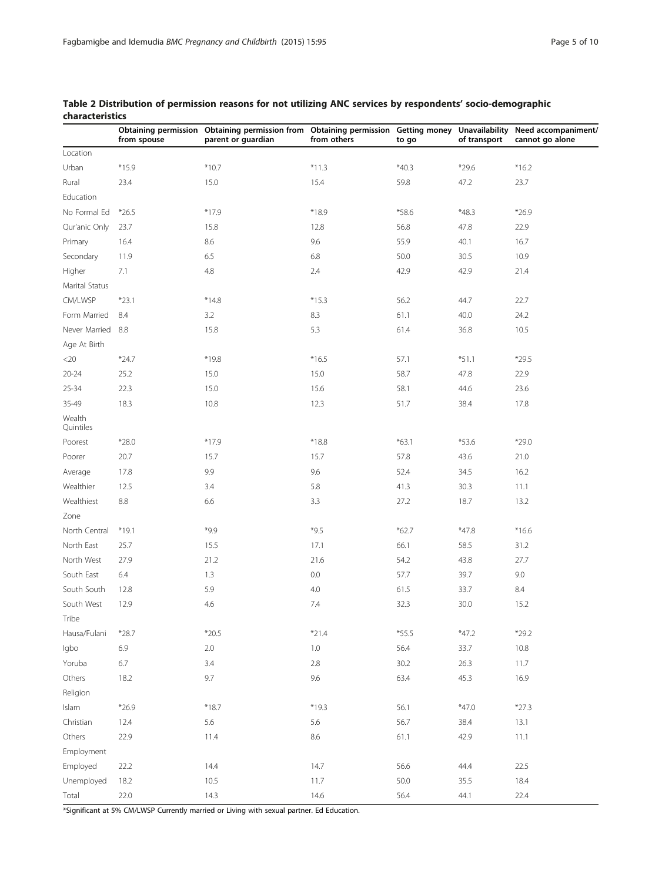|                     | from spouse | Obtaining permission Obtaining permission from Obtaining permission Getting money Unavailability Need accompaniment/<br>parent or guardian | from others | to go    | of transport | cannot go alone |
|---------------------|-------------|--------------------------------------------------------------------------------------------------------------------------------------------|-------------|----------|--------------|-----------------|
| Location            |             |                                                                                                                                            |             |          |              |                 |
| Urban               | $*15.9$     | $*10.7$                                                                                                                                    | $*11.3$     | $*40.3$  | $*29.6$      | $*16.2$         |
| Rural               | 23.4        | 15.0                                                                                                                                       | 15.4        | 59.8     | 47.2         | 23.7            |
| Education           |             |                                                                                                                                            |             |          |              |                 |
| No Formal Ed        | $*26.5$     | *17.9                                                                                                                                      | *18.9       | *58.6    | $*48.3$      | $*26.9$         |
| Qur'anic Only       | 23.7        | 15.8                                                                                                                                       | 12.8        | 56.8     | 47.8         | 22.9            |
| Primary             | 16.4        | 8.6                                                                                                                                        | 9.6         | 55.9     | 40.1         | 16.7            |
| Secondary           | 11.9        | 6.5                                                                                                                                        | 6.8         | 50.0     | 30.5         | 10.9            |
| Higher              | 7.1         | $4.8\,$                                                                                                                                    | 2.4         | 42.9     | 42.9         | 21.4            |
| Marital Status      |             |                                                                                                                                            |             |          |              |                 |
| CM/LWSP             | $*23.1$     | $*14.8$                                                                                                                                    | $*15.3$     | 56.2     | 44.7         | 22.7            |
| Form Married        | 8.4         | 3.2                                                                                                                                        | 8.3         | 61.1     | 40.0         | 24.2            |
| Never Married       | 8.8         | 15.8                                                                                                                                       | 5.3         | 61.4     | 36.8         | 10.5            |
| Age At Birth        |             |                                                                                                                                            |             |          |              |                 |
| $<$ 20              | $*24.7$     | *19.8                                                                                                                                      | $*16.5$     | 57.1     | $*51.1$      | *29.5           |
| $20 - 24$           | 25.2        | 15.0                                                                                                                                       | 15.0        | 58.7     | 47.8         | 22.9            |
| 25-34               | 22.3        | 15.0                                                                                                                                       | 15.6        | 58.1     | 44.6         | 23.6            |
| 35-49               | 18.3        | 10.8                                                                                                                                       | 12.3        | 51.7     | 38.4         | 17.8            |
| Wealth<br>Quintiles |             |                                                                                                                                            |             |          |              |                 |
| Poorest             | $*28.0$     | $*17.9$                                                                                                                                    | $*18.8$     | $*63.1$  | $*53.6$      | $*29.0$         |
| Poorer              | 20.7        | 15.7                                                                                                                                       | 15.7        | 57.8     | 43.6         | 21.0            |
| Average             | 17.8        | 9.9                                                                                                                                        | 9.6         | 52.4     | 34.5         | 16.2            |
| Wealthier           | 12.5        | 3.4                                                                                                                                        | 5.8         | 41.3     | 30.3         | 11.1            |
| Wealthiest          | $8.8\,$     | 6.6                                                                                                                                        | 3.3         | 27.2     | 18.7         | 13.2            |
| Zone                |             |                                                                                                                                            |             |          |              |                 |
| North Central       | $*19.1$     | $*9.9$                                                                                                                                     | $*9.5$      | $*62.7$  | $*47.8$      | $*16.6$         |
| North East          | 25.7        | 15.5                                                                                                                                       | 17.1        | 66.1     | 58.5         | 31.2            |
| North West          | 27.9        | 21.2                                                                                                                                       | 21.6        | 54.2     | 43.8         | 27.7            |
| South East          | 6.4         | 1.3                                                                                                                                        | 0.0         | 57.7     | 39.7         | 9.0             |
| South South         | 12.8        | 5.9                                                                                                                                        | 4.0         | 61.5     | 33.7         | 8.4             |
| South West          | 12.9        | 4.6                                                                                                                                        | $7.4\,$     | 32.3     | 30.0         | 15.2            |
| Tribe               |             |                                                                                                                                            |             |          |              |                 |
| Hausa/Fulani        | $*28.7$     | $*20.5$                                                                                                                                    | $*21.4$     | $*55.5$  | $*47.2$      | $*29.2$         |
| Igbo                | 6.9         | $2.0\,$                                                                                                                                    | $1.0\,$     | 56.4     | 33.7         | 10.8            |
| Yoruba              | $6.7\,$     | 3.4                                                                                                                                        | $2.8\,$     | 30.2     | 26.3         | 11.7            |
| Others              | 18.2        | 9.7                                                                                                                                        | 9.6         | 63.4     | 45.3         | 16.9            |
| Religion            |             |                                                                                                                                            |             |          |              |                 |
| Islam               | $*26.9$     | $*18.7$                                                                                                                                    | $*19.3$     | 56.1     | $*47.0$      | $*27.3$         |
| Christian           | 12.4        | 5.6                                                                                                                                        | 5.6         | 56.7     | 38.4         | 13.1            |
| Others              | 22.9        | 11.4                                                                                                                                       | 8.6         | 61.1     | 42.9         | 11.1            |
| Employment          |             |                                                                                                                                            |             |          |              |                 |
| Employed            | 22.2        | 14.4                                                                                                                                       | 14.7        | 56.6     | 44.4         | 22.5            |
| Unemployed          | 18.2        | 10.5                                                                                                                                       | 11.7        | $50.0\,$ | 35.5         | 18.4            |
| Total               | 22.0        | 14.3                                                                                                                                       | 14.6        | 56.4     | 44.1         | 22.4            |

<span id="page-4-0"></span>Table 2 Distribution of permission reasons for not utilizing ANC services by respondents' socio-demographic characteristics

\*Significant at 5% CM/LWSP Currently married or Living with sexual partner. Ed Education.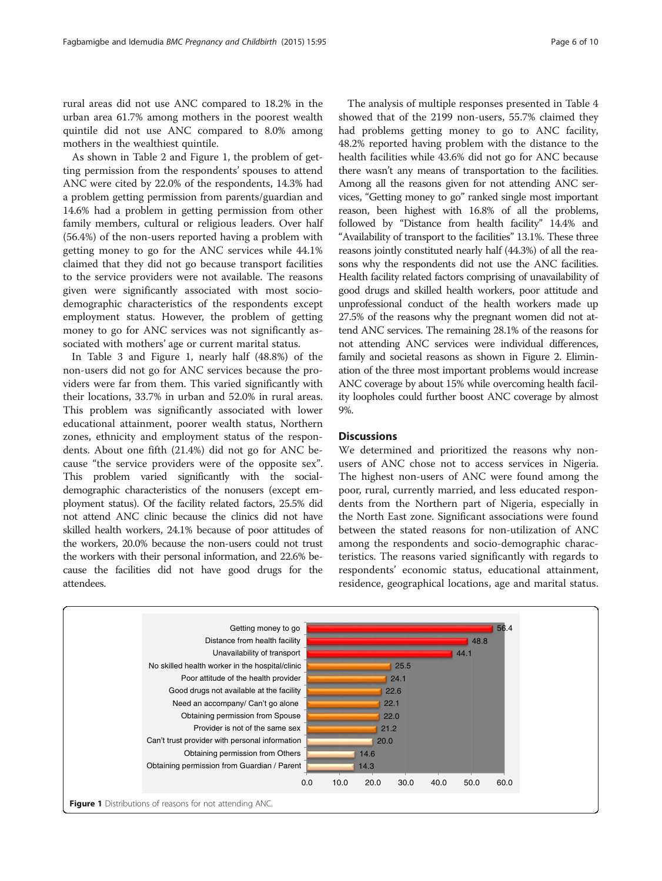rural areas did not use ANC compared to 18.2% in the urban area 61.7% among mothers in the poorest wealth quintile did not use ANC compared to 8.0% among mothers in the wealthiest quintile.

As shown in Table [2](#page-4-0) and Figure 1, the problem of getting permission from the respondents' spouses to attend ANC were cited by 22.0% of the respondents, 14.3% had a problem getting permission from parents/guardian and 14.6% had a problem in getting permission from other family members, cultural or religious leaders. Over half (56.4%) of the non-users reported having a problem with getting money to go for the ANC services while 44.1% claimed that they did not go because transport facilities to the service providers were not available. The reasons given were significantly associated with most sociodemographic characteristics of the respondents except employment status. However, the problem of getting money to go for ANC services was not significantly associated with mothers' age or current marital status.

In Table [3](#page-6-0) and Figure 1, nearly half (48.8%) of the non-users did not go for ANC services because the providers were far from them. This varied significantly with their locations, 33.7% in urban and 52.0% in rural areas. This problem was significantly associated with lower educational attainment, poorer wealth status, Northern zones, ethnicity and employment status of the respondents. About one fifth (21.4%) did not go for ANC because "the service providers were of the opposite sex". This problem varied significantly with the socialdemographic characteristics of the nonusers (except employment status). Of the facility related factors, 25.5% did not attend ANC clinic because the clinics did not have skilled health workers, 24.1% because of poor attitudes of the workers, 20.0% because the non-users could not trust the workers with their personal information, and 22.6% because the facilities did not have good drugs for the attendees.

The analysis of multiple responses presented in Table [4](#page-7-0) showed that of the 2199 non-users, 55.7% claimed they had problems getting money to go to ANC facility, 48.2% reported having problem with the distance to the health facilities while 43.6% did not go for ANC because there wasn't any means of transportation to the facilities. Among all the reasons given for not attending ANC services, "Getting money to go" ranked single most important reason, been highest with 16.8% of all the problems, followed by "Distance from health facility" 14.4% and "Availability of transport to the facilities" 13.1%. These three reasons jointly constituted nearly half (44.3%) of all the reasons why the respondents did not use the ANC facilities. Health facility related factors comprising of unavailability of good drugs and skilled health workers, poor attitude and unprofessional conduct of the health workers made up 27.5% of the reasons why the pregnant women did not attend ANC services. The remaining 28.1% of the reasons for not attending ANC services were individual differences, family and societal reasons as shown in Figure [2](#page-7-0). Elimination of the three most important problems would increase ANC coverage by about 15% while overcoming health facility loopholes could further boost ANC coverage by almost 9%.

#### **Discussions**

We determined and prioritized the reasons why nonusers of ANC chose not to access services in Nigeria. The highest non-users of ANC were found among the poor, rural, currently married, and less educated respondents from the Northern part of Nigeria, especially in the North East zone. Significant associations were found between the stated reasons for non-utilization of ANC among the respondents and socio-demographic characteristics. The reasons varied significantly with regards to respondents' economic status, educational attainment, residence, geographical locations, age and marital status.

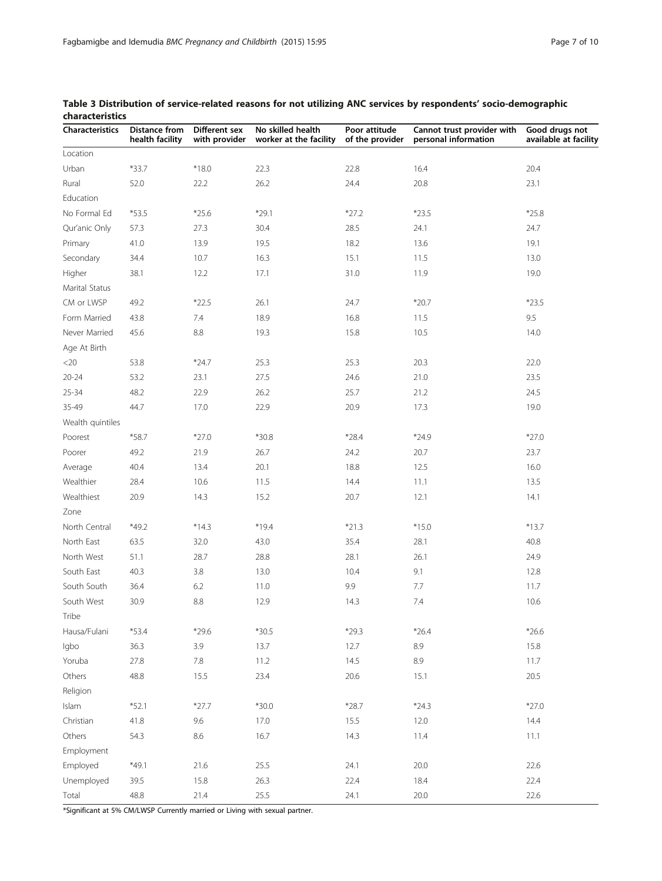| Characteristics  | <b>Distance from</b><br>health facility | Different sex<br>with provider | No skilled health<br>worker at the facility | Poor attitude<br>of the provider | Cannot trust provider with<br>personal information | Good drugs not<br>available at facility |
|------------------|-----------------------------------------|--------------------------------|---------------------------------------------|----------------------------------|----------------------------------------------------|-----------------------------------------|
| Location         |                                         |                                |                                             |                                  |                                                    |                                         |
| Urban            | *33.7                                   | $*18.0$                        | 22.3                                        | 22.8                             | 16.4                                               | 20.4                                    |
| Rural            | 52.0                                    | 22.2                           | 26.2                                        | 24.4                             | 20.8                                               | 23.1                                    |
| Education        |                                         |                                |                                             |                                  |                                                    |                                         |
| No Formal Ed     | $*53.5$                                 | $*25.6$                        | $*29.1$                                     | $*27.2$                          | $*23.5$                                            | $*25.8$                                 |
| Qur'anic Only    | 57.3                                    | 27.3                           | 30.4                                        | 28.5                             | 24.1                                               | 24.7                                    |
| Primary          | 41.0                                    | 13.9                           | 19.5                                        | 18.2                             | 13.6                                               | 19.1                                    |
| Secondary        | 34.4                                    | 10.7                           | 16.3                                        | 15.1                             | 11.5                                               | 13.0                                    |
| Higher           | 38.1                                    | 12.2                           | 17.1                                        | 31.0                             | 11.9                                               | 19.0                                    |
| Marital Status   |                                         |                                |                                             |                                  |                                                    |                                         |
| CM or LWSP       | 49.2                                    | $*22.5$                        | 26.1                                        | 24.7                             | $*20.7$                                            | $*23.5$                                 |
| Form Married     | 43.8                                    | 7.4                            | 18.9                                        | 16.8                             | 11.5                                               | 9.5                                     |
| Never Married    | 45.6                                    | $8.8\,$                        | 19.3                                        | 15.8                             | 10.5                                               | 14.0                                    |
| Age At Birth     |                                         |                                |                                             |                                  |                                                    |                                         |
| $<$ 20           | 53.8                                    | $*24.7$                        | 25.3                                        | 25.3                             | 20.3                                               | 22.0                                    |
| $20 - 24$        | 53.2                                    | 23.1                           | 27.5                                        | 24.6                             | 21.0                                               | 23.5                                    |
| 25-34            | 48.2                                    | 22.9                           | 26.2                                        | 25.7                             | 21.2                                               | 24.5                                    |
| 35-49            | 44.7                                    | 17.0                           | 22.9                                        | 20.9                             | 17.3                                               | 19.0                                    |
| Wealth quintiles |                                         |                                |                                             |                                  |                                                    |                                         |
| Poorest          | $*58.7$                                 | $*27.0$                        | $*30.8$                                     | $*28.4$                          | $*24.9$                                            | $*27.0$                                 |
| Poorer           | 49.2                                    | 21.9                           | 26.7                                        | 24.2                             | 20.7                                               | 23.7                                    |
| Average          | 40.4                                    | 13.4                           | 20.1                                        | 18.8                             | 12.5                                               | 16.0                                    |
| Wealthier        | 28.4                                    | 10.6                           | 11.5                                        | 14.4                             | 11.1                                               | 13.5                                    |
| Wealthiest       | 20.9                                    | 14.3                           | 15.2                                        | 20.7                             | 12.1                                               | 14.1                                    |
| Zone             |                                         |                                |                                             |                                  |                                                    |                                         |
| North Central    | $*49.2$                                 | $*14.3$                        | $*19.4$                                     | $*21.3$                          | $*15.0$                                            | $*13.7$                                 |
| North East       | 63.5                                    | 32.0                           | 43.0                                        | 35.4                             | 28.1                                               | 40.8                                    |
| North West       | 51.1                                    | 28.7                           | 28.8                                        | 28.1                             | 26.1                                               | 24.9                                    |
| South East       | 40.3                                    | 3.8                            | 13.0                                        | 10.4                             | 9.1                                                | 12.8                                    |
| South South      | 36.4                                    | 6.2                            | 11.0                                        | 9.9                              | $7.7\,$                                            | 11.7                                    |
| South West       | 30.9                                    | $\,8.8$                        | 12.9                                        | 14.3                             | $7.4$                                              | 10.6                                    |
| Tribe            |                                         |                                |                                             |                                  |                                                    |                                         |
| Hausa/Fulani     | $*53.4$                                 | $*29.6$                        | $*30.5$                                     | $*29.3$                          | $*26.4$                                            | $*26.6$                                 |
| Igbo             | 36.3                                    | 3.9                            | 13.7                                        | 12.7                             | 8.9                                                | 15.8                                    |
| Yoruba           | 27.8                                    | $7.8\,$                        | 11.2                                        | 14.5                             | 8.9                                                | 11.7                                    |
| Others           | 48.8                                    | 15.5                           | 23.4                                        | 20.6                             | 15.1                                               | 20.5                                    |
| Religion         |                                         |                                |                                             |                                  |                                                    |                                         |
| Islam            | $*52.1$                                 | $*27.7$                        | $*30.0$                                     | $*28.7$                          | $*24.3$                                            | $*27.0$                                 |
| Christian        | 41.8                                    | 9.6                            | 17.0                                        | 15.5                             | 12.0                                               | 14.4                                    |
| Others           | 54.3                                    | $8.6\,$                        | 16.7                                        | 14.3                             | 11.4                                               | 11.1                                    |
| Employment       |                                         |                                |                                             |                                  |                                                    |                                         |
| Employed         | $*49.1$                                 | 21.6                           | 25.5                                        | 24.1                             | 20.0                                               | 22.6                                    |
| Unemployed       | 39.5                                    | 15.8                           | 26.3                                        | 22.4                             | 18.4                                               | 22.4                                    |
| Total            | 48.8                                    | 21.4                           | 25.5                                        | 24.1                             | 20.0                                               | 22.6                                    |

<span id="page-6-0"></span>

| Table 3 Distribution of service-related reasons for not utilizing ANC services by respondents' socio-demographic |  |  |  |
|------------------------------------------------------------------------------------------------------------------|--|--|--|
| characteristics                                                                                                  |  |  |  |

\*Significant at 5% CM/LWSP Currently married or Living with sexual partner.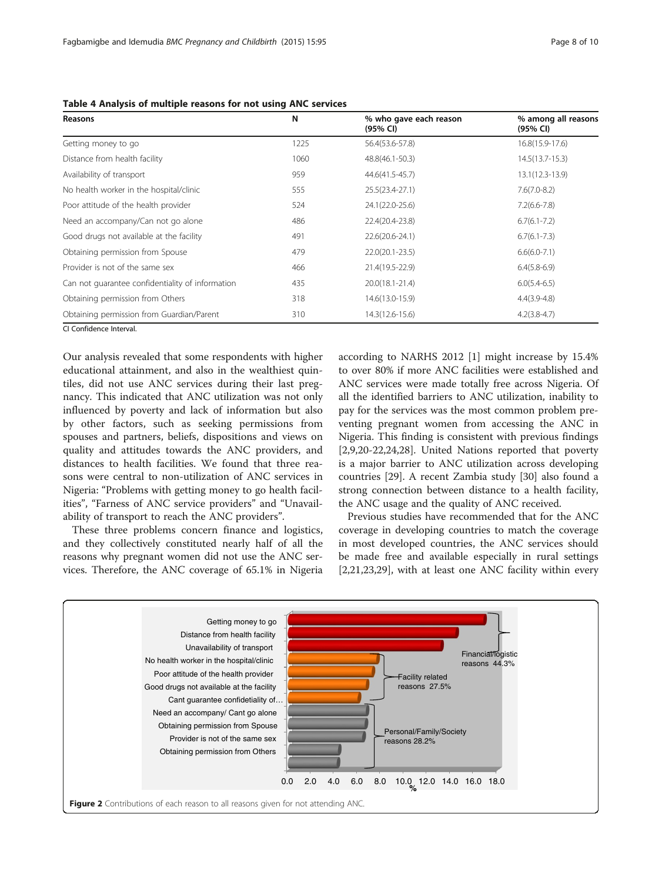| Reasons                                          | N    | % who gave each reason<br>(95% CI) | % among all reasons<br>(95% CI) |
|--------------------------------------------------|------|------------------------------------|---------------------------------|
| Getting money to go                              | 1225 | 56.4(53.6-57.8)                    | 16.8(15.9-17.6)                 |
| Distance from health facility                    | 1060 | 48.8(46.1-50.3)                    | $14.5(13.7-15.3)$               |
| Availability of transport                        | 959  | 44.6(41.5-45.7)                    | $13.1(12.3-13.9)$               |
| No health worker in the hospital/clinic          | 555  | 25.5(23.4-27.1)                    | $7.6(7.0-8.2)$                  |
| Poor attitude of the health provider             | 524  | 24.1(22.0-25.6)                    | $7.2(6.6 - 7.8)$                |
| Need an accompany/Can not go alone               | 486  | 22.4(20.4-23.8)                    | $6.7(6.1 - 7.2)$                |
| Good drugs not available at the facility         | 491  | 22.6(20.6-24.1)                    | $6.7(6.1 - 7.3)$                |
| Obtaining permission from Spouse                 | 479  | 22.0(20.1-23.5)                    | $6.6(6.0-7.1)$                  |
| Provider is not of the same sex                  | 466  | 21.4(19.5-22.9)                    | $6.4(5.8-6.9)$                  |
| Can not guarantee confidentiality of information | 435  | 20.0(18.1-21.4)                    | $6.0(5.4-6.5)$                  |
| Obtaining permission from Others                 | 318  | 14.6(13.0-15.9)                    | $4.4(3.9-4.8)$                  |
| Obtaining permission from Guardian/Parent        | 310  | 14.3(12.6-15.6)                    | $4.2(3.8-4.7)$                  |

<span id="page-7-0"></span>Table 4 Analysis of multiple reasons for not using ANC services

CI Confidence Interval.

Our analysis revealed that some respondents with higher educational attainment, and also in the wealthiest quintiles, did not use ANC services during their last pregnancy. This indicated that ANC utilization was not only influenced by poverty and lack of information but also by other factors, such as seeking permissions from spouses and partners, beliefs, dispositions and views on quality and attitudes towards the ANC providers, and distances to health facilities. We found that three reasons were central to non-utilization of ANC services in Nigeria: "Problems with getting money to go health facilities", "Farness of ANC service providers" and "Unavailability of transport to reach the ANC providers".

These three problems concern finance and logistics, and they collectively constituted nearly half of all the reasons why pregnant women did not use the ANC services. Therefore, the ANC coverage of 65.1% in Nigeria

according to NARHS 2012 [\[1](#page-8-0)] might increase by 15.4% to over 80% if more ANC facilities were established and ANC services were made totally free across Nigeria. Of all the identified barriers to ANC utilization, inability to pay for the services was the most common problem preventing pregnant women from accessing the ANC in Nigeria. This finding is consistent with previous findings [[2,9,](#page-8-0)[20-22,24,28](#page-9-0)]. United Nations reported that poverty is a major barrier to ANC utilization across developing countries [\[29](#page-9-0)]. A recent Zambia study [[30\]](#page-9-0) also found a strong connection between distance to a health facility, the ANC usage and the quality of ANC received.

Previous studies have recommended that for the ANC coverage in developing countries to match the coverage in most developed countries, the ANC services should be made free and available especially in rural settings [[2,](#page-8-0)[21,23,29\]](#page-9-0), with at least one ANC facility within every

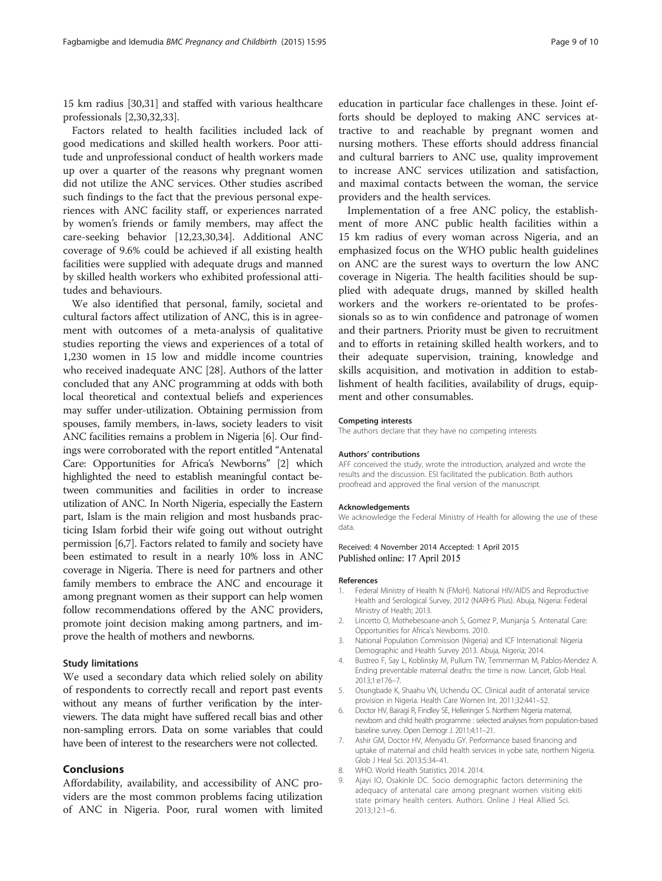<span id="page-8-0"></span>15 km radius [[30,31\]](#page-9-0) and staffed with various healthcare professionals [2,[30,32,33](#page-9-0)].

Factors related to health facilities included lack of good medications and skilled health workers. Poor attitude and unprofessional conduct of health workers made up over a quarter of the reasons why pregnant women did not utilize the ANC services. Other studies ascribed such findings to the fact that the previous personal experiences with ANC facility staff, or experiences narrated by women's friends or family members, may affect the care-seeking behavior [\[12,23,30,34\]](#page-9-0). Additional ANC coverage of 9.6% could be achieved if all existing health facilities were supplied with adequate drugs and manned by skilled health workers who exhibited professional attitudes and behaviours.

We also identified that personal, family, societal and cultural factors affect utilization of ANC, this is in agreement with outcomes of a meta-analysis of qualitative studies reporting the views and experiences of a total of 1,230 women in 15 low and middle income countries who received inadequate ANC [\[28\]](#page-9-0). Authors of the latter concluded that any ANC programming at odds with both local theoretical and contextual beliefs and experiences may suffer under-utilization. Obtaining permission from spouses, family members, in-laws, society leaders to visit ANC facilities remains a problem in Nigeria [6]. Our findings were corroborated with the report entitled "Antenatal Care: Opportunities for Africa's Newborns" [2] which highlighted the need to establish meaningful contact between communities and facilities in order to increase utilization of ANC. In North Nigeria, especially the Eastern part, Islam is the main religion and most husbands practicing Islam forbid their wife going out without outright permission [6,7]. Factors related to family and society have been estimated to result in a nearly 10% loss in ANC coverage in Nigeria. There is need for partners and other family members to embrace the ANC and encourage it among pregnant women as their support can help women follow recommendations offered by the ANC providers, promote joint decision making among partners, and improve the health of mothers and newborns.

#### Study limitations

We used a secondary data which relied solely on ability of respondents to correctly recall and report past events without any means of further verification by the interviewers. The data might have suffered recall bias and other non-sampling errors. Data on some variables that could have been of interest to the researchers were not collected.

## Conclusions

Affordability, availability, and accessibility of ANC providers are the most common problems facing utilization of ANC in Nigeria. Poor, rural women with limited education in particular face challenges in these. Joint efforts should be deployed to making ANC services attractive to and reachable by pregnant women and nursing mothers. These efforts should address financial and cultural barriers to ANC use, quality improvement to increase ANC services utilization and satisfaction, and maximal contacts between the woman, the service providers and the health services.

Implementation of a free ANC policy, the establishment of more ANC public health facilities within a 15 km radius of every woman across Nigeria, and an emphasized focus on the WHO public health guidelines on ANC are the surest ways to overturn the low ANC coverage in Nigeria. The health facilities should be supplied with adequate drugs, manned by skilled health workers and the workers re-orientated to be professionals so as to win confidence and patronage of women and their partners. Priority must be given to recruitment and to efforts in retaining skilled health workers, and to their adequate supervision, training, knowledge and skills acquisition, and motivation in addition to establishment of health facilities, availability of drugs, equipment and other consumables.

#### Competing interests

The authors declare that they have no competing interests

#### Authors' contributions

AFF conceived the study, wrote the introduction, analyzed and wrote the results and the discussion. ESI facilitated the publication. Both authors proofread and approved the final version of the manuscript.

#### Acknowledgements

We acknowledge the Federal Ministry of Health for allowing the use of these data.

#### Received: 4 November 2014 Accepted: 1 April 2015 Published online: 17 April 2015

#### References

- 1. Federal Ministry of Health N (FMoH). National HIV/AIDS and Reproductive Health and Serological Survey, 2012 (NARHS Plus). Abuja, Nigeria: Federal Ministry of Health; 2013.
- 2. Lincetto O, Mothebesoane-anoh S, Gomez P, Munjanja S. Antenatal Care: Opportunities for Africa's Newborns. 2010.
- 3. National Population Commission (Nigeria) and ICF International: Nigeria Demographic and Health Survey 2013. Abuja, Nigeria; 2014.
- 4. Bustreo F, Say L, Koblinsky M, Pullum TW, Temmerman M, Pablos-Mendez A. Ending preventable maternal deaths: the time is now. Lancet, Glob Heal. 2013;1:e176–7.
- 5. Osungbade K, Shaahu VN, Uchendu OC. Clinical audit of antenatal service provision in Nigeria. Health Care Women Int. 2011;32:441–52.
- 6. Doctor HV, Bairagi R, Findley SE, Helleringer S. Northern Nigeria maternal, newborn and child health programme : selected analyses from population-based baseline survey. Open Demogr J. 2011;4:11–21.
- 7. Ashir GM, Doctor HV, Afenyadu GY. Performance based financing and uptake of maternal and child health services in yobe sate, northern Nigeria. Glob J Heal Sci. 2013;5:34–41.
- 8. WHO. World Health Statistics 2014. 2014.
- 9. Ajayi IO, Osakinle DC. Socio demographic factors determining the adequacy of antenatal care among pregnant women visiting ekiti state primary health centers. Authors. Online J Heal Allied Sci. 2013;12:1–6.